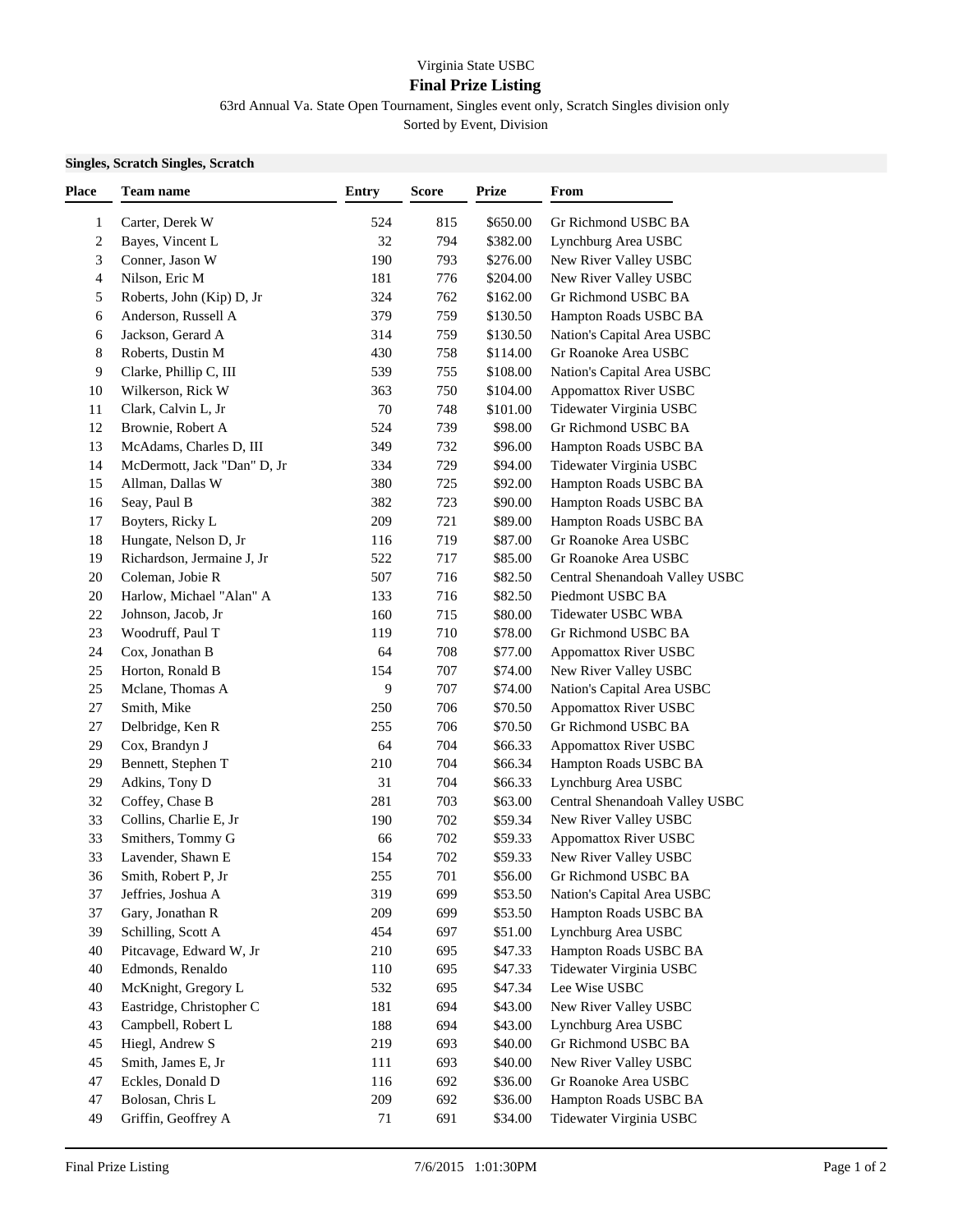## Virginia State USBC **Final Prize Listing**

63rd Annual Va. State Open Tournament, Singles event only, Scratch Singles division only

Sorted by Event, Division

## **Singles, Scratch Singles, Scratch**

| Place        | Team name                   | <b>Entry</b> | <b>Score</b> | <b>Prize</b> | From                           |
|--------------|-----------------------------|--------------|--------------|--------------|--------------------------------|
| $\mathbf{1}$ | Carter, Derek W             | 524          | 815          | \$650.00     | Gr Richmond USBC BA            |
| 2            | Bayes, Vincent L            | 32           | 794          | \$382.00     | Lynchburg Area USBC            |
| 3            | Conner, Jason W             | 190          | 793          | \$276.00     | New River Valley USBC          |
| 4            | Nilson, Eric M              | 181          | 776          | \$204.00     | New River Valley USBC          |
| 5            | Roberts, John (Kip) D, Jr   | 324          | 762          | \$162.00     | Gr Richmond USBC BA            |
| 6            | Anderson, Russell A         | 379          | 759          | \$130.50     | Hampton Roads USBC BA          |
| 6            | Jackson, Gerard A           | 314          | 759          | \$130.50     | Nation's Capital Area USBC     |
| 8            | Roberts, Dustin M           | 430          | 758          | \$114.00     | Gr Roanoke Area USBC           |
| 9            | Clarke, Phillip C, III      | 539          | 755          | \$108.00     | Nation's Capital Area USBC     |
| 10           | Wilkerson, Rick W           | 363          | 750          | \$104.00     | <b>Appomattox River USBC</b>   |
| 11           | Clark, Calvin L, Jr         | 70           | 748          | \$101.00     | Tidewater Virginia USBC        |
| 12           | Brownie, Robert A           | 524          | 739          | \$98.00      | Gr Richmond USBC BA            |
| 13           | McAdams, Charles D, III     | 349          | 732          | \$96.00      | Hampton Roads USBC BA          |
| 14           | McDermott, Jack "Dan" D, Jr | 334          | 729          | \$94.00      | Tidewater Virginia USBC        |
| 15           | Allman, Dallas W            | 380          | 725          | \$92.00      | Hampton Roads USBC BA          |
| 16           | Seay, Paul B                | 382          | 723          | \$90.00      | Hampton Roads USBC BA          |
| 17           | Boyters, Ricky L            | 209          | 721          | \$89.00      | Hampton Roads USBC BA          |
| 18           | Hungate, Nelson D, Jr       | 116          | 719          | \$87.00      | Gr Roanoke Area USBC           |
| 19           | Richardson, Jermaine J, Jr  | 522          | 717          | \$85.00      | Gr Roanoke Area USBC           |
| $20\,$       | Coleman, Jobie R            | 507          | 716          | \$82.50      | Central Shenandoah Valley USBC |
| $20\,$       | Harlow, Michael "Alan" A    | 133          | 716          | \$82.50      | Piedmont USBC BA               |
| 22           | Johnson, Jacob, Jr          | 160          | 715          | \$80.00      | Tidewater USBC WBA             |
| 23           | Woodruff, Paul T            | 119          | 710          | \$78.00      | Gr Richmond USBC BA            |
| 24           | Cox, Jonathan B             | 64           | 708          | \$77.00      | <b>Appomattox River USBC</b>   |
| 25           | Horton, Ronald B            | 154          | 707          | \$74.00      | New River Valley USBC          |
| 25           | Mclane, Thomas A            | 9            | 707          | \$74.00      | Nation's Capital Area USBC     |
| $27\,$       | Smith, Mike                 | 250          | 706          | \$70.50      | <b>Appomattox River USBC</b>   |
| 27           | Delbridge, Ken R            | 255          | 706          | \$70.50      | Gr Richmond USBC BA            |
| 29           | Cox, Brandyn J              | 64           | 704          | \$66.33      | Appomattox River USBC          |
| 29           | Bennett, Stephen T          | 210          | 704          | \$66.34      | Hampton Roads USBC BA          |
| 29           | Adkins, Tony D              | 31           | 704          | \$66.33      | Lynchburg Area USBC            |
| 32           | Coffey, Chase B             | 281          | 703          | \$63.00      | Central Shenandoah Valley USBC |
| 33           | Collins, Charlie E, Jr      | 190          | 702          | \$59.34      | New River Valley USBC          |
| 33           | Smithers, Tommy G           | 66           | 702          | \$59.33      | <b>Appomattox River USBC</b>   |
| 33           | Lavender, Shawn E           | 154          | 702          | \$59.33      | New River Valley USBC          |
| 36           | Smith, Robert P, Jr         | 255          | 701          | \$56.00      | Gr Richmond USBC BA            |
| 37           | Jeffries, Joshua A          | 319          | 699          | \$53.50      | Nation's Capital Area USBC     |
| 37           | Gary, Jonathan R            | 209          | 699          | \$53.50      | Hampton Roads USBC BA          |
| 39           | Schilling, Scott A          | 454          | 697          | \$51.00      | Lynchburg Area USBC            |
| 40           | Pitcavage, Edward W, Jr     | 210          | 695          | \$47.33      | Hampton Roads USBC BA          |
| 40           | Edmonds, Renaldo            | 110          | 695          | \$47.33      | Tidewater Virginia USBC        |
| 40           | McKnight, Gregory L         | 532          | 695          | \$47.34      | Lee Wise USBC                  |
| 43           | Eastridge, Christopher C    | 181          | 694          | \$43.00      | New River Valley USBC          |
| 43           | Campbell, Robert L          | 188          | 694          | \$43.00      | Lynchburg Area USBC            |
| 45           | Hiegl, Andrew S             | 219          | 693          | \$40.00      | Gr Richmond USBC BA            |
| 45           | Smith, James E, Jr          | 111          | 693          | \$40.00      | New River Valley USBC          |
| 47           | Eckles, Donald D            | 116          | 692          | \$36.00      | Gr Roanoke Area USBC           |
| 47           | Bolosan, Chris L            | 209          | 692          | \$36.00      | Hampton Roads USBC BA          |
| 49           | Griffin, Geoffrey A         | 71           | 691          | \$34.00      | Tidewater Virginia USBC        |